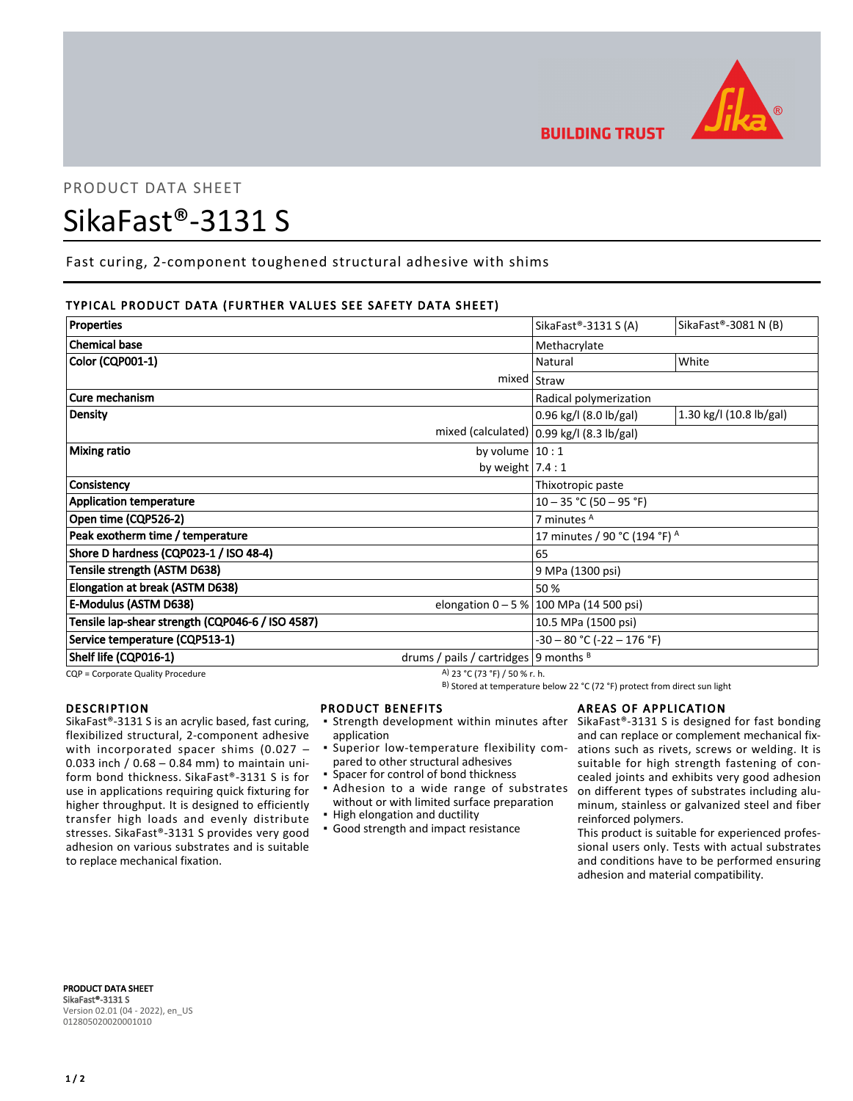

# PRODUCT DATA SHEET

# SikaFast®-3131 S

Fast curing, 2-component toughened structural adhesive with shims

# TYPICAL PRODUCT DATA (FURTHER VALUES SEE SAFETY DATA SHEET)

| <b>Properties</b>                                |                                           | SikaFast <sup>®</sup> -3131 S(A)             | SikaFast®-3081 N (B)    |
|--------------------------------------------------|-------------------------------------------|----------------------------------------------|-------------------------|
| <b>Chemical base</b>                             |                                           | Methacrylate                                 |                         |
| Color (CQP001-1)                                 |                                           | Natural                                      | White                   |
|                                                  |                                           | mixed   Straw                                |                         |
| Cure mechanism                                   |                                           | Radical polymerization                       |                         |
| <b>Density</b>                                   |                                           | 0.96 kg/l (8.0 lb/gal)                       | 1.30 kg/l (10.8 lb/gal) |
|                                                  |                                           | mixed (calculated) $ 0.99$ kg/l (8.3 lb/gal) |                         |
| Mixing ratio<br>by volume $10:1$                 |                                           |                                              |                         |
|                                                  | by weight $7.4:1$                         |                                              |                         |
| Consistency                                      |                                           | Thixotropic paste                            |                         |
| <b>Application temperature</b>                   |                                           | $10 - 35$ °C (50 - 95 °F)                    |                         |
| Open time (CQP526-2)                             |                                           | 7 minutes <sup>A</sup>                       |                         |
| Peak exotherm time / temperature                 |                                           | 17 minutes / 90 °C (194 °F) A                |                         |
| Shore D hardness (CQP023-1 / ISO 48-4)           |                                           | 65                                           |                         |
| Tensile strength (ASTM D638)                     |                                           | 9 MPa (1300 psi)                             |                         |
| Elongation at break (ASTM D638)                  |                                           | 50 %                                         |                         |
| E-Modulus (ASTM D638)                            |                                           | elongation $0 - 5 % 100 MPa (14 500 psi)$    |                         |
| Tensile lap-shear strength (CQP046-6 / ISO 4587) |                                           | 10.5 MPa (1500 psi)                          |                         |
| Service temperature (CQP513-1)                   |                                           | $-30 - 80$ °C ( $-22 - 176$ °F)              |                         |
| Shelf life (CQP016-1)                            | drums / pails / cartridges   9 months $B$ |                                              |                         |

CQP = Corporate Quality Procedure  $(A)$  23 °C (73 °F) / 50 % r. h.

B) Stored at temperature below 22 °C (72 °F) protect from direct sun light

#### DESCRIPTION

SikaFast®-3131 S is an acrylic based, fast curing, flexibilized structural, 2-component adhesive with incorporated spacer shims (0.027 -0.033 inch / 0.68 ─ 0.84 mm) to maintain uniform bond thickness. SikaFast®-3131 S is for use in applications requiring quick fixturing for higher throughput. It is designed to efficiently transfer high loads and evenly distribute stresses. SikaFast®-3131 S provides very good adhesion on various substrates and is suitable to replace mechanical fixation.

# PRODUCT BENEFITS

- Strength development within minutes after SikaFast®-3131 S is designed for fast bonding application
- **·** Superior low-temperature flexibility compared to other structural adhesives
- Spacer for control of bond thickness
- **.** Adhesion to a wide range of substrates without or with limited surface preparation
- High elongation and ductility
- **· Good strength and impact resistance**

#### AREAS OF APPLICATION

and can replace or complement mechanical fixations such as rivets, screws or welding. It is suitable for high strength fastening of concealed joints and exhibits very good adhesion on different types of substrates including aluminum, stainless or galvanized steel and fiber reinforced polymers.

This product is suitable for experienced professional users only. Tests with actual substrates and conditions have to be performed ensuring adhesion and material compatibility.

PRODUCT DATA SHEET SikaFast®-3131 S Version 02.01 (04 - 2022), en\_US 012805020020001010